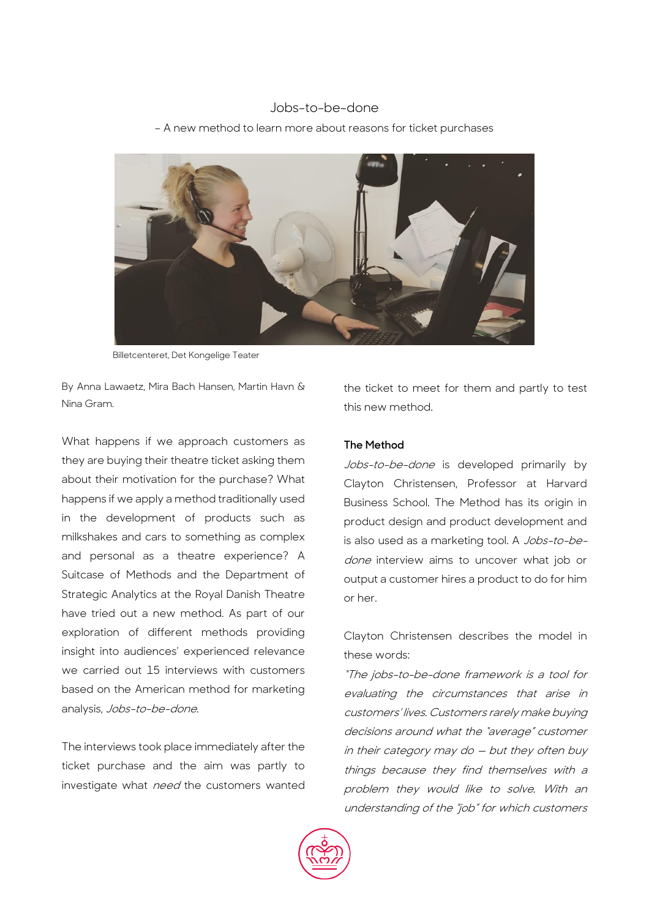# Jobs-to-be-done

– A new method to learn more about reasons for ticket purchases



Billetcenteret, Det Kongelige Teater

By Anna Lawaetz, Mira Bach Hansen, Martin Havn & Nina Gram.

What happens if we approach customers as they are buying their theatre ticket asking them about their motivation for the purchase? What happens if we apply a method traditionally used in the development of products such as milkshakes and cars to something as complex and personal as a theatre experience? A Suitcase of Methods and the Department of Strategic Analytics at the Royal Danish Theatre have tried out a new method. As part of our exploration of different methods providing insight into audiences' experienced relevance we carried out 15 interviews with customers based on the American method for marketing analysis, Jobs-to-be-done.

The interviews took place immediately after the ticket purchase and the aim was partly to investigate what need the customers wanted the ticket to meet for them and partly to test this new method.

# **The Method**

Jobs-to-be-done is developed primarily by Clayton Christensen, Professor at Harvard Business School. The Method has its origin in product design and product development and is also used as a marketing tool. A Jobs-to-bedone interview aims to uncover what job or output a customer hires a product to do for him or her.

Clayton Christensen describes the model in these words:

"The jobs-to-be-done framework is a tool for evaluating the circumstances that arise in customers' lives. Customers rarely make buying decisions around what the "average" customer in their category may do — but they often buy things because they find themselves with a problem they would like to solve. With an understanding of the "job" for which customers

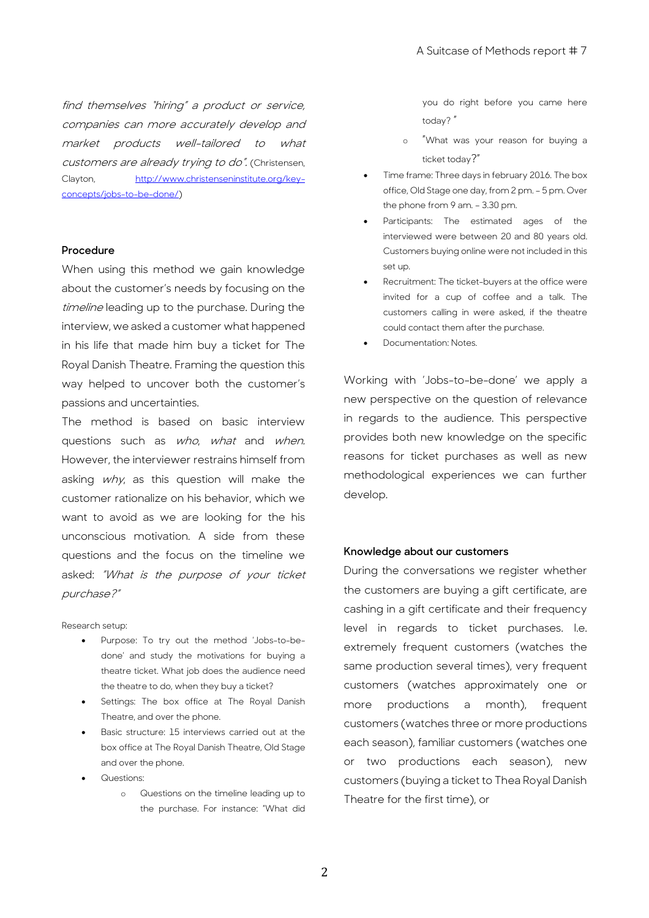find themselves "hiring" a product or service, companies can more accurately develop and market products well-tailored to what customers are already trying to do". (Christensen, Clayton, [http://www.christenseninstitute.org/key](http://www.christenseninstitute.org/key-concepts/jobs-to-be-done/)[concepts/jobs-to-be-done/\)](http://www.christenseninstitute.org/key-concepts/jobs-to-be-done/)

### **Procedure**

When using this method we gain knowledge about the customer's needs by focusing on the timeline leading up to the purchase. During the interview, we asked a customer what happened in his life that made him buy a ticket for The Royal Danish Theatre. Framing the question this way helped to uncover both the customer's passions and uncertainties.

The method is based on basic interview questions such as who, what and when. However, the interviewer restrains himself from asking why, as this question will make the customer rationalize on his behavior, which we want to avoid as we are looking for the his unconscious motivation. A side from these questions and the focus on the timeline we asked: "What is the purpose of your ticket purchase?"

Research setup:

- Purpose: To try out the method 'Jobs-to-bedone' and study the motivations for buying a theatre ticket. What job does the audience need the theatre to do, when they buy a ticket?
- Settings: The box office at The Royal Danish Theatre, and over the phone.
- Basic structure: 15 interviews carried out at the box office at The Royal Danish Theatre, Old Stage and over the phone.
- Questions:
	- o Questions on the timeline leading up to the purchase. For instance: "What did

you do right before you came here today? "

- o "What was your reason for buying a ticket today?"
- Time frame: Three days in february 2016. The box office, Old Stage one day, from 2 pm. – 5 pm. Over the phone from 9 am. – 3.30 pm.
- Participants: The estimated ages of the interviewed were between 20 and 80 years old. Customers buying online were not included in this set up.
- Recruitment: The ticket-buyers at the office were invited for a cup of coffee and a talk. The customers calling in were asked, if the theatre could contact them after the purchase.
- Documentation: Notes.

Working with 'Jobs-to-be-done' we apply a new perspective on the question of relevance in regards to the audience. This perspective provides both new knowledge on the specific reasons for ticket purchases as well as new methodological experiences we can further develop.

#### **Knowledge about our customers**

During the conversations we register whether the customers are buying a gift certificate, are cashing in a gift certificate and their frequency level in regards to ticket purchases. I.e. extremely frequent customers (watches the same production several times), very frequent customers (watches approximately one or more productions a month), frequent customers (watches three or more productions each season), familiar customers (watches one or two productions each season), new customers (buying a ticket to Thea Royal Danish Theatre for the first time), or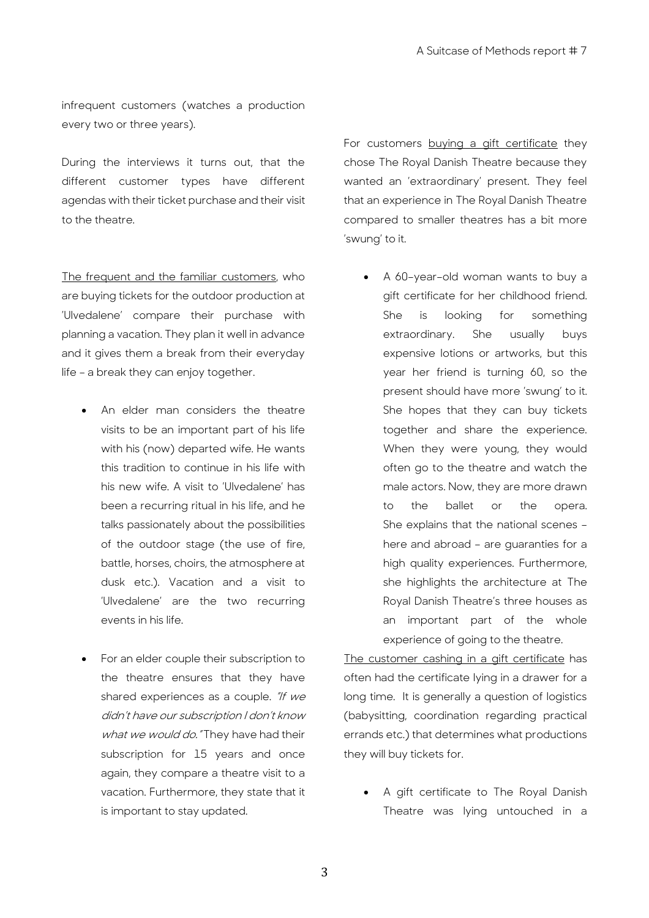infrequent customers (watches a production every two or three years).

During the interviews it turns out, that the different customer types have different agendas with their ticket purchase and their visit to the theatre.

The frequent and the familiar customers, who are buying tickets for the outdoor production at 'Ulvedalene' compare their purchase with planning a vacation. They plan it well in advance and it gives them a break from their everyday life – a break they can enjoy together.

- An elder man considers the theatre visits to be an important part of his life with his (now) departed wife. He wants this tradition to continue in his life with his new wife. A visit to 'Ulvedalene' has been a recurring ritual in his life, and he talks passionately about the possibilities of the outdoor stage (the use of fire, battle, horses, choirs, the atmosphere at dusk etc.). Vacation and a visit to 'Ulvedalene' are the two recurring events in his life.
- For an elder couple their subscription to the theatre ensures that they have shared experiences as a couple. "If we didn't have our subscription I don't know what we would do. "They have had their subscription for 15 years and once again, they compare a theatre visit to a vacation. Furthermore, they state that it is important to stay updated.

For customers buying a gift certificate they chose The Royal Danish Theatre because they wanted an 'extraordinary' present. They feel that an experience in The Royal Danish Theatre compared to smaller theatres has a bit more 'swung' to it.

 A 60–year–old woman wants to buy a gift certificate for her childhood friend. She is looking for something extraordinary. She usually buys expensive lotions or artworks, but this year her friend is turning 60, so the present should have more 'swung' to it. She hopes that they can buy tickets together and share the experience. When they were young, they would often go to the theatre and watch the male actors. Now, they are more drawn to the ballet or the opera. She explains that the national scenes – here and abroad – are guaranties for a high quality experiences. Furthermore, she highlights the architecture at The Royal Danish Theatre's three houses as an important part of the whole experience of going to the theatre.

The customer cashing in a gift certificate has often had the certificate lying in a drawer for a long time. It is generally a question of logistics (babysitting, coordination regarding practical errands etc.) that determines what productions they will buy tickets for.

 A gift certificate to The Royal Danish Theatre was lying untouched in a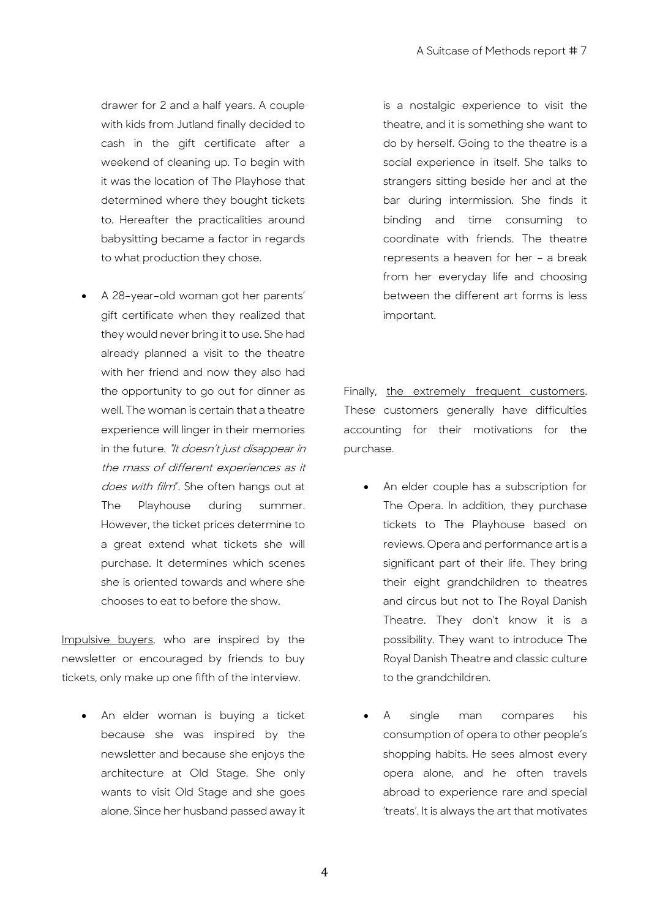drawer for 2 and a half years. A couple with kids from Jutland finally decided to cash in the gift certificate after a weekend of cleaning up. To begin with it was the location of The Playhose that determined where they bought tickets to. Hereafter the practicalities around babysitting became a factor in regards to what production they chose.

 A 28–year–old woman got her parents' gift certificate when they realized that they would never bring it to use. She had already planned a visit to the theatre with her friend and now they also had the opportunity to go out for dinner as well. The woman is certain that a theatre experience will linger in their memories in the future. "It doesn't just disappear in the mass of different experiences as it does with film". She often hangs out at The Playhouse during summer. However, the ticket prices determine to a great extend what tickets she will purchase. It determines which scenes she is oriented towards and where she chooses to eat to before the show.

Impulsive buyers, who are inspired by the newsletter or encouraged by friends to buy tickets, only make up one fifth of the interview.

• An elder woman is buying a ticket because she was inspired by the newsletter and because she enjoys the architecture at Old Stage. She only wants to visit Old Stage and she goes alone. Since her husband passed away it

is a nostalgic experience to visit the theatre, and it is something she want to do by herself. Going to the theatre is a social experience in itself. She talks to strangers sitting beside her and at the bar during intermission. She finds it binding and time consuming to coordinate with friends. The theatre represents a heaven for her – a break from her everyday life and choosing between the different art forms is less important.

Finally, the extremely frequent customers. These customers generally have difficulties accounting for their motivations for the purchase.

- An elder couple has a subscription for The Opera. In addition, they purchase tickets to The Playhouse based on reviews. Opera and performance art is a significant part of their life. They bring their eight grandchildren to theatres and circus but not to The Royal Danish Theatre. They don't know it is a possibility. They want to introduce The Royal Danish Theatre and classic culture to the grandchildren.
- A single man compares his consumption of opera to other people's shopping habits. He sees almost every opera alone, and he often travels abroad to experience rare and special 'treats'. It is always the art that motivates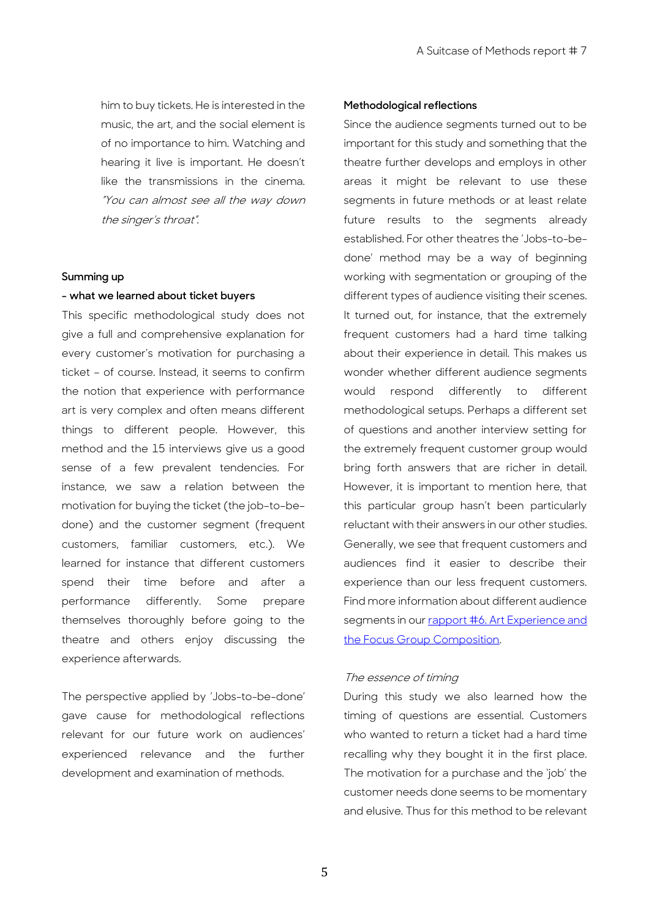him to buy tickets. He is interested in the music, the art, and the social element is of no importance to him. Watching and hearing it live is important. He doesn't like the transmissions in the cinema. "You can almost see all the way down the singer's throat".

#### **Summing up**

### **- what we learned about ticket buyers**

This specific methodological study does not give a full and comprehensive explanation for every customer's motivation for purchasing a ticket – of course. Instead, it seems to confirm the notion that experience with performance art is very complex and often means different things to different people. However, this method and the 15 interviews give us a good sense of a few prevalent tendencies. For instance, we saw a relation between the motivation for buying the ticket (the job–to–be– done) and the customer segment (frequent customers, familiar customers, etc.). We learned for instance that different customers spend their time before and after a performance differently. Some prepare themselves thoroughly before going to the theatre and others enjoy discussing the experience afterwards.

The perspective applied by 'Jobs-to-be-done' gave cause for methodological reflections relevant for our future work on audiences' experienced relevance and the further development and examination of methods.

## **Methodological reflections**

Since the audience segments turned out to be important for this study and something that the theatre further develops and employs in other areas it might be relevant to use these segments in future methods or at least relate future results to the segments already established. For other theatres the 'Jobs-to-bedone' method may be a way of beginning working with segmentation or grouping of the different types of audience visiting their scenes. It turned out, for instance, that the extremely frequent customers had a hard time talking about their experience in detail. This makes us wonder whether different audience segments would respond differently to different methodological setups. Perhaps a different set of questions and another interview setting for the extremely frequent customer group would bring forth answers that are richer in detail. However, it is important to mention here, that this particular group hasn't been particularly reluctant with their answers in our other studies. Generally, we see that frequent customers and audiences find it easier to describe their experience than our less frequent customers. Find more information about different audience segments in our rapport #6. Art Experience and [the Focus Group Composition.](https://asuitcaseofmethods.files.wordpress.com/2016/10/rapport-6-final.pdf)

# The essence of timing

During this study we also learned how the timing of questions are essential. Customers who wanted to return a ticket had a hard time recalling why they bought it in the first place. The motivation for a purchase and the 'job' the customer needs done seems to be momentary and elusive. Thus for this method to be relevant